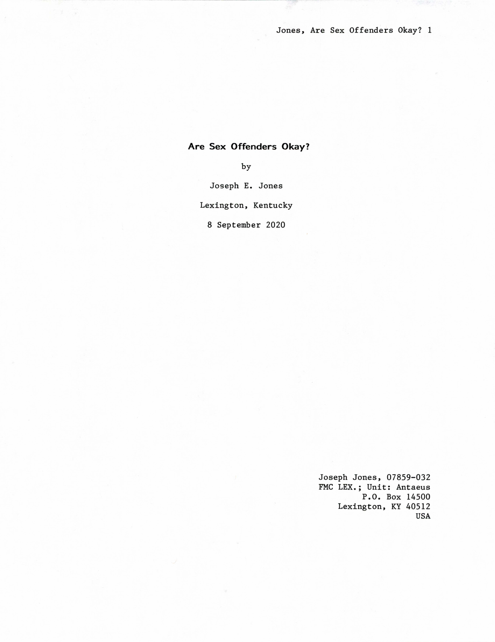# Are Sex Offenders Okay?

by

Joseph E. Jones

Lexington, Kentucky

8 September 2020

Joseph Jones, 07859-032 FMC LEX.; Unit: Antaeus P.O. Box 14500 Lexington, KY 40512 USA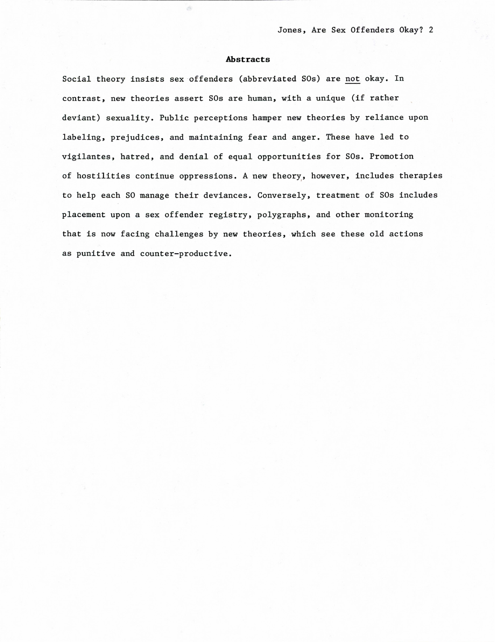## Abstracts

é.

Social theory insists sex offenders (abbreviated SOs) are not okay. In contrast, new theories assert SOs are human, with a unique (if rather deviant) sexuality. Public perceptions hamper new theories by reliance upon labeling, prejudices, and maintaining fear and anger. These have led to vigilantes, hatred, and denial of equal opportunities for SOs. Promotion of hostilities continue oppressions. A new theory, however, includes therapies to help each SO manage their deviances. Conversely, treatment of SOs includes placement upon a sex offender registry, polygraphs, and other monitoring that is now facing challenges by new theories, which see these old actions as punitive and counter-productive.